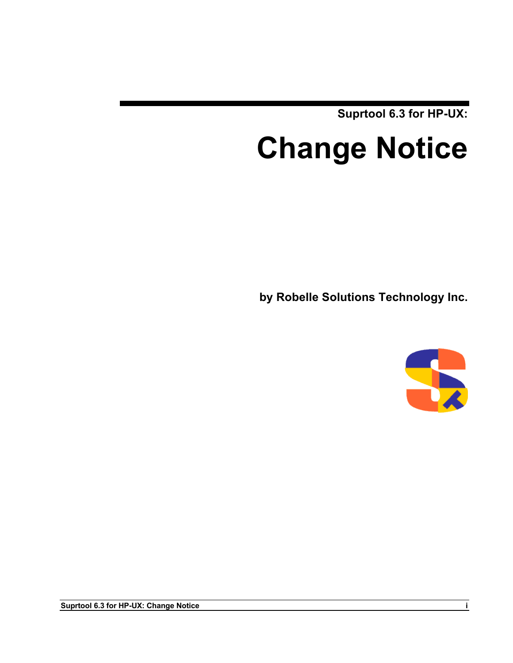**Suprtool 6.3 for HP-UX:**

# **Change Notice**

**by Robelle Solutions Technology Inc.**

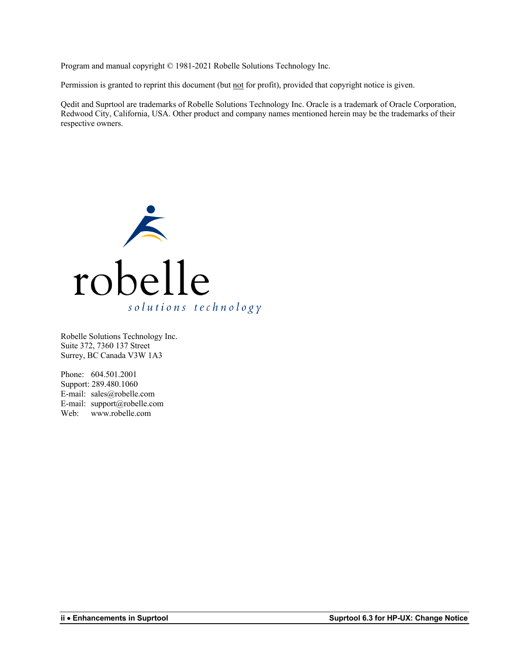Program and manual copyright © 1981-2021 Robelle Solutions Technology Inc.

Permission is granted to reprint this document (but not for profit), provided that copyright notice is given.

Qedit and Suprtool are trademarks of Robelle Solutions Technology Inc. Oracle is a trademark of Oracle Corporation, Redwood City, California, USA. Other product and company names mentioned herein may be the trademarks of their respective owners.



Robelle Solutions Technology Inc. Suite 372, 7360 137 Street Surrey, BC Canada V3W 1A3

Phone: 604.501.2001 Support: 289.480.1060 E-mail: sales@robelle.com E-mail: support@robelle.com Web: www.robelle.com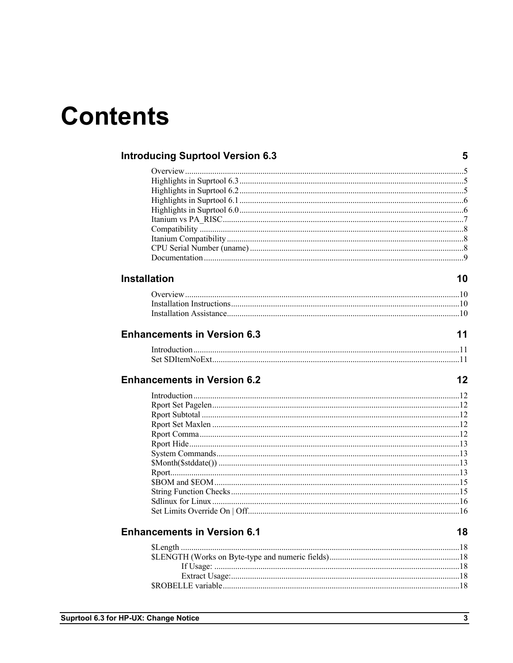# **Contents**

#### **Introducing Suprtool Version 6.3**

#### **Installation**

#### **Enhancements in Version 6.3**

| ۰.<br>۰. | ۰.<br>۰. |
|----------|----------|
|          |          |
|          |          |

 $12$ 

10

5

#### **Enhancements in Version 6.2**

#### **Enhancements in Version 6.1**

18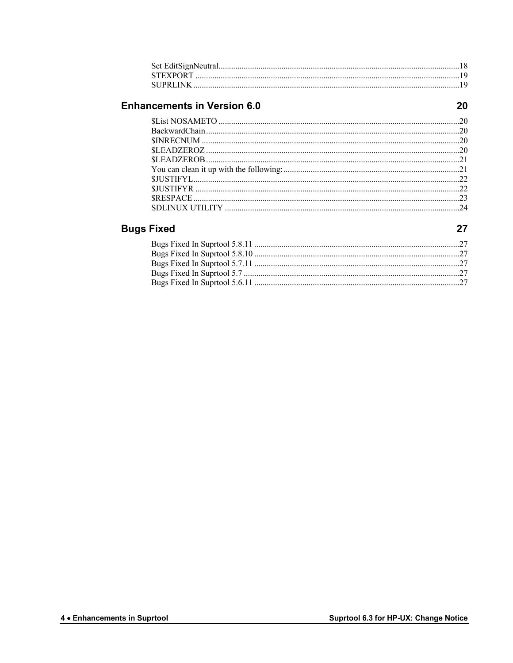#### **Enhancements in Version 6.0**

#### **Bugs Fixed**

#### $27$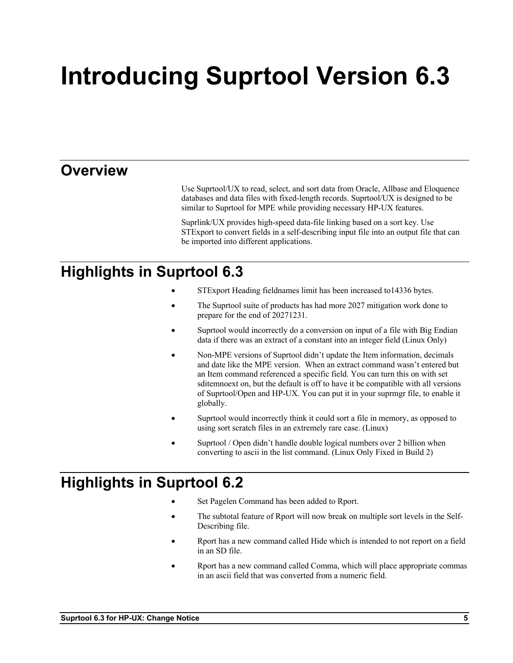# **Introducing Suprtool Version 6.3**

#### **Overview**

Use Suprtool/UX to read, select, and sort data from Oracle, Allbase and Eloquence databases and data files with fixed-length records. Suprtool/UX is designed to be similar to Suprtool for MPE while providing necessary HP-UX features.

Suprlink/UX provides high-speed data-file linking based on a sort key. Use STExport to convert fields in a self-describing input file into an output file that can be imported into different applications.

## **Highlights in Suprtool 6.3**

- STExport Heading fieldnames limit has been increased to14336 bytes.
- The Suprtool suite of products has had more 2027 mitigation work done to prepare for the end of 20271231.
- Suprtool would incorrectly do a conversion on input of a file with Big Endian data if there was an extract of a constant into an integer field (Linux Only)
- Non-MPE versions of Suprtool didn't update the Item information, decimals and date like the MPE version. When an extract command wasn't entered but an Item command referenced a specific field. You can turn this on with set sditemnoext on, but the default is off to have it be compatible with all versions of Suprtool/Open and HP-UX. You can put it in your suprmgr file, to enable it globally.
- Suprtool would incorrectly think it could sort a file in memory, as opposed to using sort scratch files in an extremely rare case. (Linux)
- Suprtool / Open didn't handle double logical numbers over 2 billion when converting to ascii in the list command. (Linux Only Fixed in Build 2)

### **Highlights in Suprtool 6.2**

- Set Pagelen Command has been added to Rport.
- The subtotal feature of Rport will now break on multiple sort levels in the Self-Describing file.
- Rport has a new command called Hide which is intended to not report on a field in an SD file.
- Rport has a new command called Comma, which will place appropriate commas in an ascii field that was converted from a numeric field.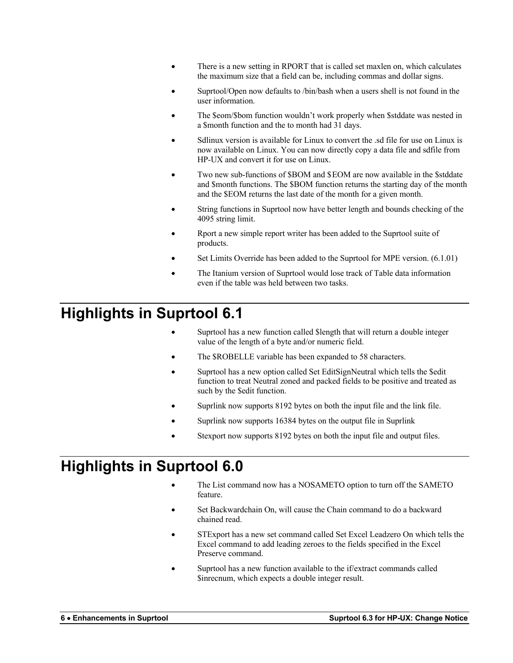- There is a new setting in RPORT that is called set maxlen on, which calculates the maximum size that a field can be, including commas and dollar signs.
- Suprtool/Open now defaults to /bin/bash when a users shell is not found in the user information.
- The \$eom/\$bom function wouldn't work properly when \$stddate was nested in a \$month function and the to month had 31 days.
- Sdlinux version is available for Linux to convert the .sd file for use on Linux is now available on Linux. You can now directly copy a data file and sdfile from HP-UX and convert it for use on Linux.
- Two new sub-functions of \$BOM and \$EOM are now available in the \$stddate and \$month functions. The \$BOM function returns the starting day of the month and the \$EOM returns the last date of the month for a given month.
- String functions in Suprtool now have better length and bounds checking of the 4095 string limit.
- Rport a new simple report writer has been added to the Suprtool suite of products.
- Set Limits Override has been added to the Suprtool for MPE version. (6.1.01)
- The Itanium version of Suprtool would lose track of Table data information even if the table was held between two tasks.

## **Highlights in Suprtool 6.1**

- Suprtool has a new function called \$length that will return a double integer value of the length of a byte and/or numeric field.
- The SROBELLE variable has been expanded to 58 characters.
- Suprtool has a new option called Set EditSignNeutral which tells the \$edit function to treat Neutral zoned and packed fields to be positive and treated as such by the \$edit function.
- Suprlink now supports 8192 bytes on both the input file and the link file.
- Suprlink now supports 16384 bytes on the output file in Suprlink
- Stexport now supports 8192 bytes on both the input file and output files.

### **Highlights in Suprtool 6.0**

- The List command now has a NOSAMETO option to turn off the SAMETO feature.
- Set Backwardchain On, will cause the Chain command to do a backward chained read.
- STExport has a new set command called Set Excel Leadzero On which tells the Excel command to add leading zeroes to the fields specified in the Excel Preserve command.
- Suprtool has a new function available to the if/extract commands called \$inrecnum, which expects a double integer result.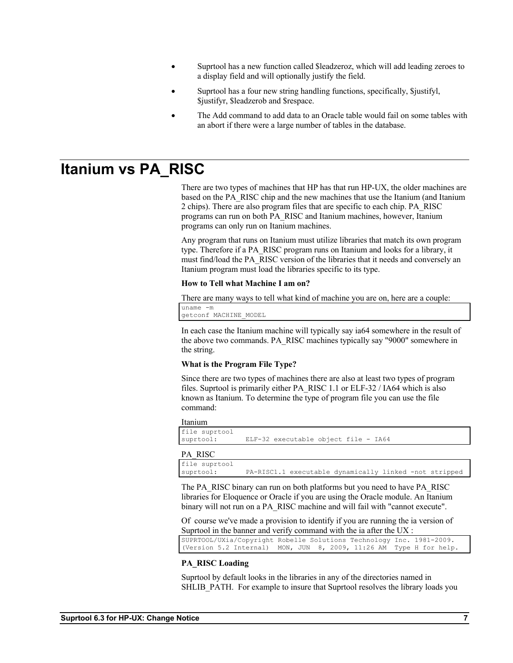- Suprtool has a new function called \$leadzeroz, which will add leading zeroes to a display field and will optionally justify the field.
- Suprtool has a four new string handling functions, specifically, \$justifyl, \$justifyr, \$leadzerob and \$respace.
- The Add command to add data to an Oracle table would fail on some tables with an abort if there were a large number of tables in the database.

#### **Itanium vs PA\_RISC**

There are two types of machines that HP has that run HP-UX, the older machines are based on the PA\_RISC chip and the new machines that use the Itanium (and Itanium 2 chips). There are also program files that are specific to each chip. PA\_RISC programs can run on both PA\_RISC and Itanium machines, however, Itanium programs can only run on Itanium machines.

Any program that runs on Itanium must utilize libraries that match its own program type. Therefore if a PA\_RISC program runs on Itanium and looks for a library, it must find/load the PA\_RISC version of the libraries that it needs and conversely an Itanium program must load the libraries specific to its type.

#### **How to Tell what Machine I am on?**

There are many ways to tell what kind of machine you are on, here are a couple:

uname -m getconf MACHINE\_MODEL

In each case the Itanium machine will typically say ia64 somewhere in the result of the above two commands. PA\_RISC machines typically say "9000" somewhere in the string.

#### **What is the Program File Type?**

Since there are two types of machines there are also at least two types of program files. Suprtool is primarily either PA\_RISC 1.1 or ELF-32 / IA64 which is also known as Itanium. To determine the type of program file you can use the file command:

#### Itanium

```
file suprtool
suprtool: ELF-32 executable object file - IA64
```
#### PA\_RISC

```
file suprtool
suprtool: PA-RISC1.1 executable dynamically linked -not stripped
```
The PA\_RISC binary can run on both platforms but you need to have PA\_RISC libraries for Eloquence or Oracle if you are using the Oracle module. An Itanium binary will not run on a PA\_RISC machine and will fail with "cannot execute".

Of course we've made a provision to identify if you are running the ia version of Suprtool in the banner and verify command with the ia after the UX :

SUPRTOOL/UXia/Copyright Robelle Solutions Technology Inc. 1981-2009. MON, JUN 8, 2009, 11:26 AM Type H for help.

#### **PA\_RISC Loading**

Suprtool by default looks in the libraries in any of the directories named in SHLIB\_PATH. For example to insure that Suprtool resolves the library loads you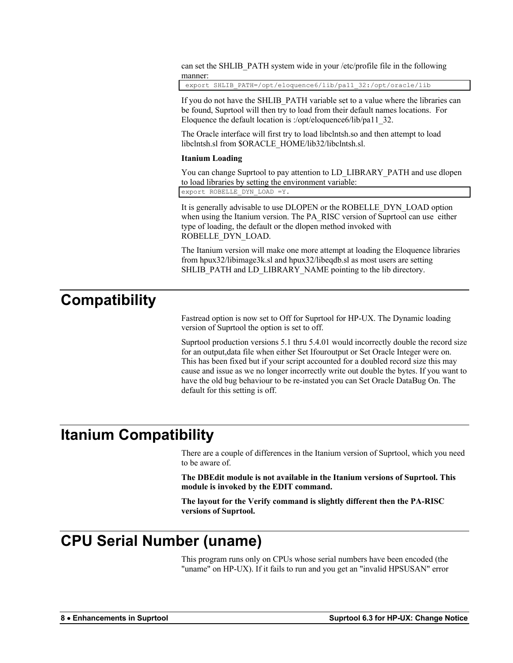can set the SHLIB\_PATH system wide in your /etc/profile file in the following manner:

export SHLIB\_PATH=/opt/eloquence6/lib/pa11\_32:/opt/oracle/lib

If you do not have the SHLIB\_PATH variable set to a value where the libraries can be found, Suprtool will then try to load from their default names locations. For Eloquence the default location is :/opt/eloquence6/lib/pa11\_32.

The Oracle interface will first try to load libclntsh.so and then attempt to load libclntsh.sl from \$ORACLE\_HOME/lib32/libclntsh.sl.

#### **Itanium Loading**

You can change Suprtool to pay attention to LD\_LIBRARY\_PATH and use dlopen to load libraries by setting the environment variable:

export ROBELLE\_DYN\_LOAD =Y.

It is generally advisable to use DLOPEN or the ROBELLE\_DYN\_LOAD option when using the Itanium version. The PA\_RISC version of Suprtool can use either type of loading, the default or the dlopen method invoked with ROBELLE\_DYN\_LOAD.

The Itanium version will make one more attempt at loading the Eloquence libraries from hpux32/libimage3k.sl and hpux32/libeqdb.sl as most users are setting SHLIB\_PATH and LD\_LIBRARY\_NAME pointing to the lib directory.

#### **Compatibility**

Fastread option is now set to Off for Suprtool for HP-UX. The Dynamic loading version of Suprtool the option is set to off.

Suprtool production versions 5.1 thru 5.4.01 would incorrectly double the record size for an output,data file when either Set Ifouroutput or Set Oracle Integer were on. This has been fixed but if your script accounted for a doubled record size this may cause and issue as we no longer incorrectly write out double the bytes. If you want to have the old bug behaviour to be re-instated you can Set Oracle DataBug On. The default for this setting is off.

#### **Itanium Compatibility**

There are a couple of differences in the Itanium version of Suprtool, which you need to be aware of.

**The DBEdit module is not available in the Itanium versions of Suprtool. This module is invoked by the EDIT command.**

**The layout for the Verify command is slightly different then the PA-RISC versions of Suprtool.**

#### **CPU Serial Number (uname)**

This program runs only on CPUs whose serial numbers have been encoded (the "uname" on HP-UX). If it fails to run and you get an "invalid HPSUSAN" error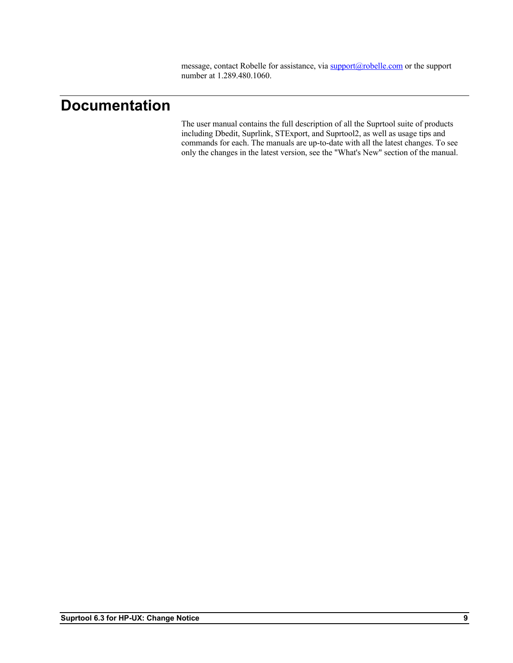message, contact Robelle for assistance, via **support@robelle.com** or the support number at 1.289.480.1060.

## **Documentation**

The user manual contains the full description of all the Suprtool suite of products including Dbedit, Suprlink, STExport, and Suprtool2, as well as usage tips and commands for each. The manuals are up-to-date with all the latest changes. To see only the changes in the latest version, see the "What's New" section of the manual.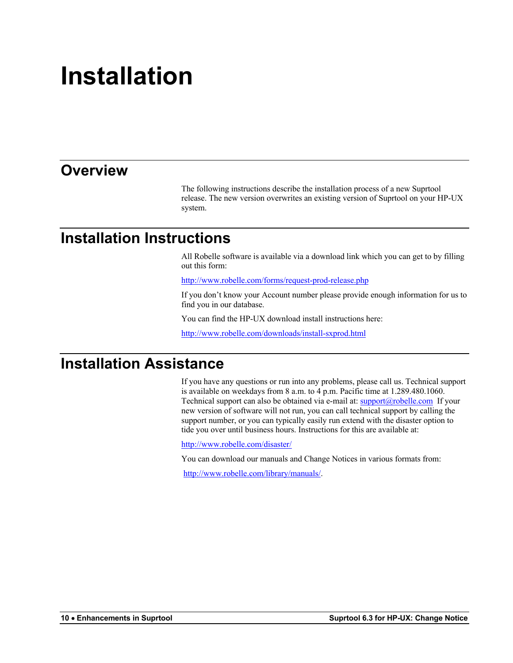# **Installation**

#### **Overview**

The following instructions describe the installation process of a new Suprtool release. The new version overwrites an existing version of Suprtool on your HP-UX system.

## **Installation Instructions**

All Robelle software is available via a download link which you can get to by filling out this form:

http://www.robelle.com/forms/request-prod-release.php

If you don't know your Account number please provide enough information for us to find you in our database.

You can find the HP-UX download install instructions here:

http://www.robelle.com/downloads/install-sxprod.html

#### **Installation Assistance**

If you have any questions or run into any problems, please call us. Technical support is available on weekdays from 8 a.m. to 4 p.m. Pacific time at 1.289.480.1060. Technical support can also be obtained via e-mail at: support@robelle.com If your new version of software will not run, you can call technical support by calling the support number, or you can typically easily run extend with the disaster option to tide you over until business hours. Instructions for this are available at:

http://www.robelle.com/disaster/

You can download our manuals and Change Notices in various formats from:

http://www.robelle.com/library/manuals/.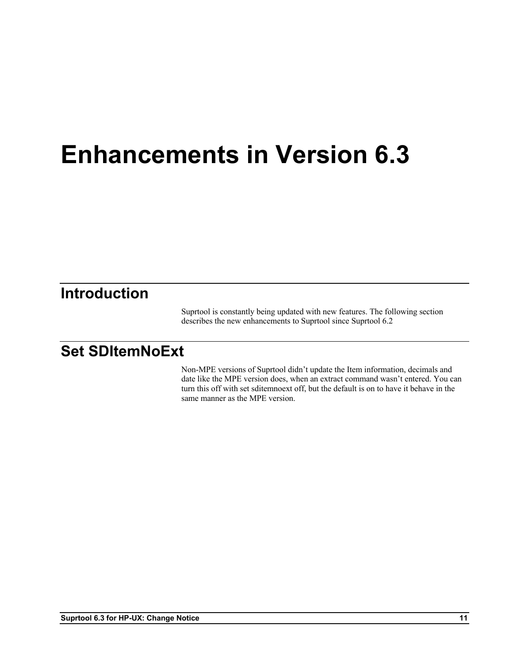# **Enhancements in Version 6.3**

### **Introduction**

Suprtool is constantly being updated with new features. The following section describes the new enhancements to Suprtool since Suprtool 6.2

#### **Set SDItemNoExt**

Non-MPE versions of Suprtool didn't update the Item information, decimals and date like the MPE version does, when an extract command wasn't entered. You can turn this off with set sditemnoext off, but the default is on to have it behave in the same manner as the MPE version.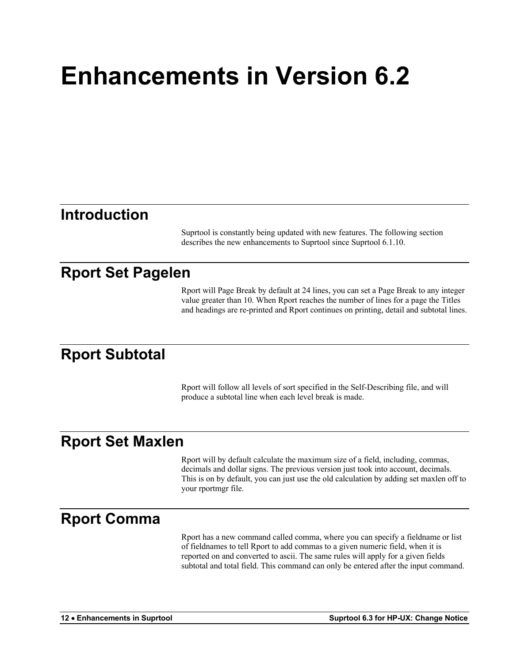# **Enhancements in Version 6.2**

#### **Introduction**

Suprtool is constantly being updated with new features. The following section describes the new enhancements to Suprtool since Suprtool 6.1.10.

#### **Rport Set Pagelen**

Rport will Page Break by default at 24 lines, you can set a Page Break to any integer value greater than 10. When Rport reaches the number of lines for a page the Titles and headings are re-printed and Rport continues on printing, detail and subtotal lines.

#### **Rport Subtotal**

Rport will follow all levels of sort specified in the Self-Describing file, and will produce a subtotal line when each level break is made.

#### **Rport Set Maxlen**

Rport will by default calculate the maximum size of a field, including, commas, decimals and dollar signs. The previous version just took into account, decimals. This is on by default, you can just use the old calculation by adding set maxlen off to your rportmgr file.

#### **Rport Comma**

Rport has a new command called comma, where you can specify a fieldname or list of fieldnames to tell Rport to add commas to a given numeric field, when it is reported on and converted to ascii. The same rules will apply for a given fields subtotal and total field. This command can only be entered after the input command.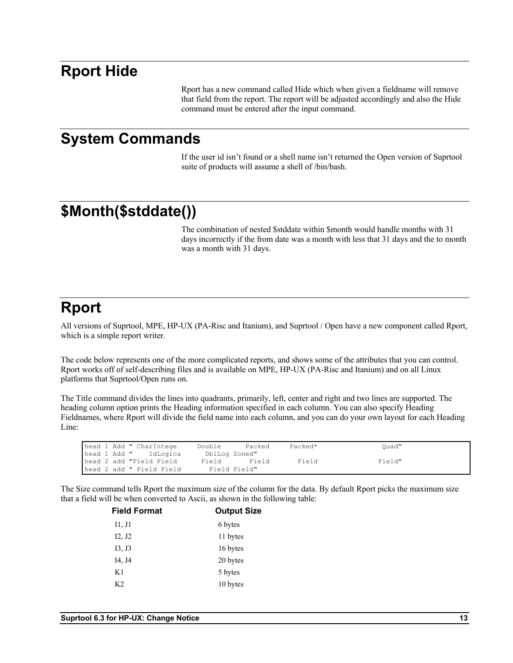#### **Rport Hide**

Rport has a new command called Hide which when given a fieldname will remove that field from the report. The report will be adjusted accordingly and also the Hide command must be entered after the input command.

#### **System Commands**

If the user id isn't found or a shell name isn't returned the Open version of Suprtool suite of products will assume a shell of /bin/bash.

## **\$Month(\$stddate())**

The combination of nested \$stddate within \$month would handle months with 31 days incorrectly if the from date was a month with less that 31 days and the to month was a month with 31 days.

### **Rport**

All versions of Suprtool, MPE, HP-UX (PA-Risc and Itanium), and Suprtool / Open have a new component called Rport, which is a simple report writer.

The code below represents one of the more complicated reports, and shows some of the attributes that you can control. Rport works off of self-describing files and is available on MPE, HP-UX (PA-Risc and Itanium) and on all Linux platforms that Suprtool/Open runs on.

The Title command divides the lines into quadrants, primarily, left, center and right and two lines are supported. The heading column option prints the Heading information specified in each column. You can also specify Heading Fieldnames, where Rport will divide the field name into each column, and you can do your own layout for each Heading Line:

| head 1 Add " CharIntege  | Double        | Packed | Packed* | Ouad"  |
|--------------------------|---------------|--------|---------|--------|
| head 1 Add " IdLogica    | DblLog Zoned" |        |         |        |
| head 2 add "Field Field  | Field         | Field  | Field   | Field" |
| head 2 add " Field Field | Field Field"  |        |         |        |

The Size command tells Rport the maximum size of the column for the data. By default Rport picks the maximum size that a field will be when converted to Ascii, as shown in the following table:

| <b>Field Format</b> | <b>Output Size</b> |  |
|---------------------|--------------------|--|
| I1, J1              | 6 bytes            |  |
| I2, J2              | 11 bytes           |  |
| I3, J3              | 16 bytes           |  |
| I4, J4              | 20 bytes           |  |
| K1                  | 5 bytes            |  |
| K2                  | 10 bytes           |  |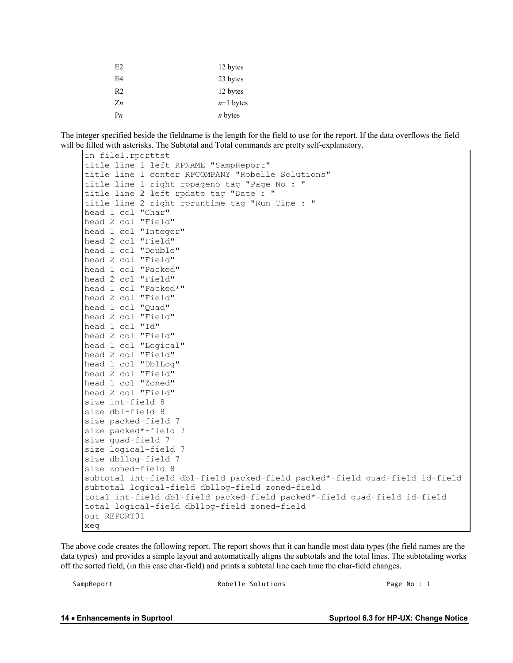| E2             | 12 bytes       |
|----------------|----------------|
| F4             | 23 bytes       |
| R <sub>2</sub> | 12 bytes       |
| $Z_n$          | $n+1$ bytes    |
| Pn             | <i>n</i> bytes |

The integer specified beside the fieldname is the length for the field to use for the report. If the data overflows the field will be filled with asterisks. The Subtotal and Total commands are pretty self-explanatory.

| in file1.rporttst                                                           |
|-----------------------------------------------------------------------------|
| title line 1 left RPNAME "SampReport"                                       |
| title line 1 center RPCOMPANY "Robelle Solutions"                           |
| title line 1 right rppageno tag "Page No : "                                |
| title line 2 left rpdate tag "Date : "                                      |
| title line 2 right rpruntime tag "Run Time : "                              |
| head 1 col "Char"                                                           |
| head 2 col "Field"                                                          |
| head 1 col "Integer"                                                        |
| head 2 col "Field"                                                          |
| head 1 col "Double"                                                         |
| head 2 col "Field"                                                          |
| head 1 col "Packed"                                                         |
| head 2 col "Field"                                                          |
| head 1 col "Packed*"                                                        |
| head 2 col "Field"                                                          |
| head 1 col "Quad"                                                           |
| head 2 col "Field"                                                          |
| head 1 col "Id"                                                             |
| head 2 col "Field"                                                          |
| head 1 col "Logical"                                                        |
| head 2 col "Field"                                                          |
| head 1 col "DblLog"                                                         |
| head 2 col "Field"                                                          |
| head 1 col "Zoned"                                                          |
| head 2 col "Field"                                                          |
| size int-field 8                                                            |
| size dbl-field 8                                                            |
| size packed-field 7                                                         |
| size packed*-field 7                                                        |
| size quad-field 7                                                           |
| size logical-field 7                                                        |
| size dbllog-field 7                                                         |
| size zoned-field 8                                                          |
| subtotal int-field dbl-field packed-field packed*-field quad-field id-field |
| subtotal logical-field dbllog-field zoned-field                             |
| total int-field dbl-field packed-field packed*-field quad-field id-field    |
| total logical-field dbllog-field zoned-field                                |
| out REPORT01                                                                |
| xeq                                                                         |

The above code creates the following report. The report shows that it can handle most data types (the field names are the data types) and provides a simple layout and automatically aligns the subtotals and the total lines. The subtotaling works off the sorted field, (in this case char-field) and prints a subtotal line each time the char-field changes.

SampReport **Robelle Solutions Page No** : 1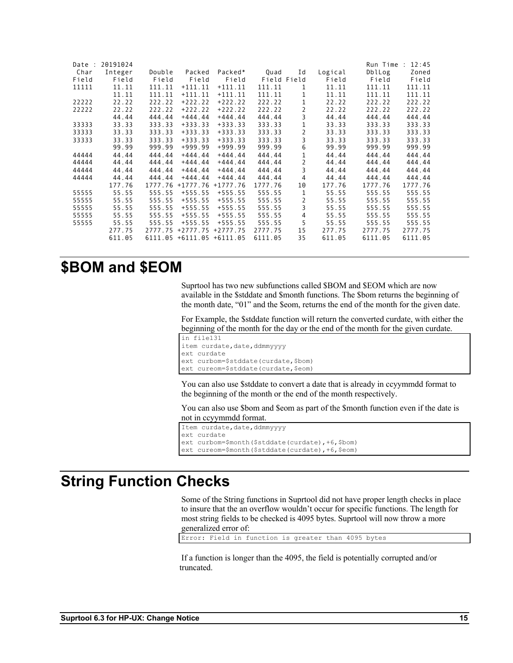| Date : | 20191024 |         |                               |                       |         |                |         |         | Run Time : 12:45 |
|--------|----------|---------|-------------------------------|-----------------------|---------|----------------|---------|---------|------------------|
| Char   | Integer  | Double  | Packed                        | Packed*               | Quad    | Ιd             | Logical | DblLog  | Zoned            |
| Field  | Field    | Field   | Field                         | Field                 |         | Field Field    | Field   | Field   | Field            |
| 11111  | 11.11    | 111.11  | $+111.11$                     | $+111.11$             | 111.11  | 1              | 11.11   | 111.11  | 111.11           |
|        | 11.11    | 111.11  | $+111.11$                     | $+111.11$             | 111.11  | 1              | 11.11   | 111.11  | 111.11           |
| 22222  | 22.22    | 222.22  | $+222.22$                     | $+222.22$             | 222.22  | 1              | 22.22   | 222.22  | 222.22           |
| 22222  | 22.22    | 222.22  | $+222.22$                     | $+222.22$             | 222.22  | 2              | 22.22   | 222.22  | 222.22           |
|        | 44.44    | 444.44  | $+444.44$                     | $+444.44$             | 444.44  | 3              | 44.44   | 444.44  | 444.44           |
| 33333  | 33.33    | 333.33  | $+333.33$                     | $+333.33$             | 333.33  | 1              | 33.33   | 333.33  | 333.33           |
| 33333  | 33.33    | 333.33  | $+333.33$                     | $+333.33$             | 333.33  | 2              | 33.33   | 333.33  | 333.33           |
| 33333  | 33.33    | 333.33  | $+333.33$                     | $+333.33$             | 333.33  | 3              | 33.33   | 333.33  | 333.33           |
|        | 99.99    | 999.99  | $+999.99$                     | $+999.99$             | 999.99  | 6              | 99.99   | 999.99  | 999.99           |
| 44444  | 44.44    | 444.44  | $+444.44$                     | $+444.44$             | 444.44  | 1              | 44.44   | 444.44  | 444.44           |
| 44444  | 44.44    | 444.44  | $+444.44$                     | $+444.44$             | 444.44  | $\overline{2}$ | 44.44   | 444.44  | 444.44           |
| 44444  | 44.44    | 444.44  | $+444.44$                     | $+444.44$             | 444.44  | 3              | 44.44   | 444.44  | 444.44           |
| 44444  | 44.44    | 444.44  | $+444.44$                     | $+444.44$             | 444.44  | 4              | 44.44   | 444.44  | 444.44           |
|        | 177.76   | 1777.76 |                               | $+1777.76$ $+1777.76$ | 1777.76 | 10             | 177.76  | 1777.76 | 1777.76          |
| 55555  | 55.55    | 555.55  | $+555.55$                     | $+555.55$             | 555.55  | 1              | 55.55   | 555.55  | 555.55           |
| 55555  | 55.55    | 555.55  | $+555.55$                     | $+555.55$             | 555.55  | 2              | 55.55   | 555.55  | 555.55           |
| 55555  | 55.55    | 555.55  | $+555.55$                     | $+555.55$             | 555.55  | 3              | 55.55   | 555.55  | 555.55           |
| 55555  | 55.55    | 555.55  | $+555.55$                     | $+555.55$             | 555.55  | 4              | 55.55   | 555.55  | 555.55           |
| 55555  | 55.55    | 555.55  | $+555.55$                     | $+555.55$             | 555.55  | 5              | 55.55   | 555.55  | 555.55           |
|        | 277.75   |         | 2777.75 +2777.75 +2777.75     |                       | 2777.75 | 15             | 277.75  | 2777.75 | 2777.75          |
|        | 611.05   |         | $6111.05 + 6111.05 + 6111.05$ |                       | 6111.05 | 35             | 611.05  | 6111.05 | 6111.05          |
|        |          |         |                               |                       |         |                |         |         |                  |

#### **\$BOM and \$EOM**

Suprtool has two new subfunctions called \$BOM and \$EOM which are now available in the \$stddate and \$month functions. The \$bom returns the beginning of the month date, "01" and the \$eom, returns the end of the month for the given date.

For Example, the \$stddate function will return the converted curdate, with either the beginning of the month for the day or the end of the month for the given curdate. in file131

```
item curdate, date, ddmmyyyy
ext curdate
ext curbom=$stddate(curdate,$bom)
ext cureom=$stddate(curdate, $eom)
```
You can also use \$stddate to convert a date that is already in ccyymmdd format to the beginning of the month or the end of the month respectively.

You can also use \$bom and \$eom as part of the \$month function even if the date is not in ccyymmdd format.

```
Item curdate, date, ddmmyyyy
ext curdate
ext curbom=$month($stddate(curdate),+6,$bom)
ext cureom=$month($stddate(curdate),+6,$eom)
```
#### **String Function Checks**

Some of the String functions in Suprtool did not have proper length checks in place to insure that the an overflow wouldn't occur for specific functions. The length for most string fields to be checked is 4095 bytes. Suprtool will now throw a more generalized error of:

Error: Field in function is greater than 4095 bytes

If a function is longer than the 4095, the field is potentially corrupted and/or truncated.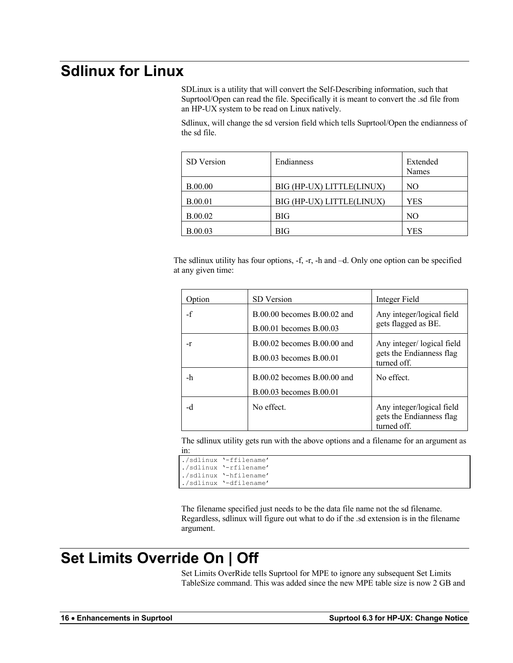### **Sdlinux for Linux**

SDLinux is a utility that will convert the Self-Describing information, such that Suprtool/Open can read the file. Specifically it is meant to convert the .sd file from an HP-UX system to be read on Linux natively.

Sdlinux, will change the sd version field which tells Suprtool/Open the endianness of the sd file.

| SD Version     | Endianness                | Extended<br>Names |
|----------------|---------------------------|-------------------|
| <b>B.00.00</b> | BIG (HP-UX) LITTLE(LINUX) | NO.               |
| <b>B.00.01</b> | BIG (HP-UX) LITTLE(LINUX) | YES               |
| <b>B.00.02</b> | <b>BIG</b>                | N <sub>O</sub>    |
| <b>B.00.03</b> | BIG                       | YES               |

The sdlinux utility has four options, -f, -r, -h and –d. Only one option can be specified at any given time:

| Option | SD Version                                                 | Integer Field                                                        |
|--------|------------------------------------------------------------|----------------------------------------------------------------------|
| $-f$   | $B.00.00$ becomes $B.00.02$ and<br>B.00.01 becomes B.00.03 | Any integer/logical field<br>gets flagged as BE.                     |
| $-r$   | $B.00.02$ becomes $B.00.00$ and<br>B.00.03 becomes B.00.01 | Any integer/logical field<br>gets the Endianness flag<br>turned off. |
| $-h$   | $B.00.02$ becomes $B.00.00$ and<br>B.00.03 becomes B.00.01 | No effect.                                                           |
| -d     | No effect.                                                 | Any integer/logical field<br>gets the Endianness flag<br>turned off. |

The sdlinux utility gets run with the above options and a filename for an argument as in:

```
./sdlinux '-ffilename'
./sdlinux '-rfilename'
./sdlinux '-hfilename'
./sdlinux '-dfilename'
```
The filename specified just needs to be the data file name not the sd filename. Regardless, sdlinux will figure out what to do if the .sd extension is in the filename argument.

## **Set Limits Override On | Off**

Set Limits OverRide tells Suprtool for MPE to ignore any subsequent Set Limits TableSize command. This was added since the new MPE table size is now 2 GB and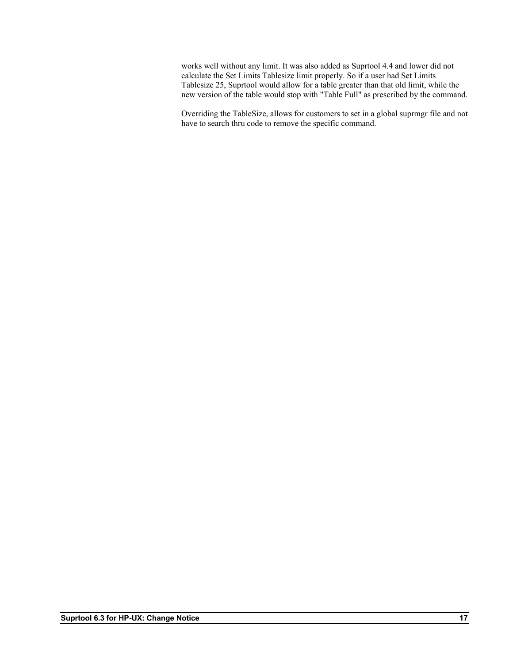works well without any limit. It was also added as Suprtool 4.4 and lower did not calculate the Set Limits Tablesize limit properly. So if a user had Set Limits Tablesize 25, Suprtool would allow for a table greater than that old limit, while the new version of the table would stop with "Table Full" as prescribed by the command.

Overriding the TableSize, allows for customers to set in a global suprmgr file and not have to search thru code to remove the specific command.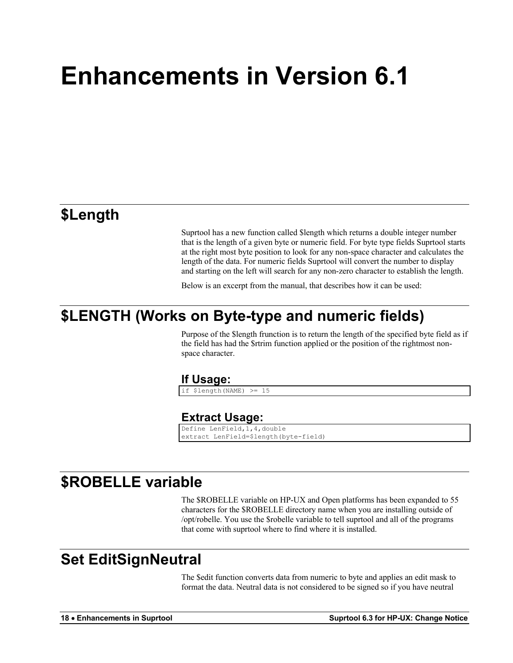# **Enhancements in Version 6.1**

#### **\$Length**

Suprtool has a new function called \$length which returns a double integer number that is the length of a given byte or numeric field. For byte type fields Suprtool starts at the right most byte position to look for any non-space character and calculates the length of the data. For numeric fields Suprtool will convert the number to display and starting on the left will search for any non-zero character to establish the length.

Below is an excerpt from the manual, that describes how it can be used:

#### **\$LENGTH (Works on Byte-type and numeric fields)**

Purpose of the \$length frunction is to return the length of the specified byte field as if the field has had the \$rtrim function applied or the position of the rightmost nonspace character.

#### **If Usage:**

if \$length(NAME) >= 15

#### **Extract Usage:**

```
Define LenField,1,4,double
extract LenField=$length(byte-field)
```
#### **\$ROBELLE variable**

The \$ROBELLE variable on HP-UX and Open platforms has been expanded to 55 characters for the \$ROBELLE directory name when you are installing outside of /opt/robelle. You use the \$robelle variable to tell suprtool and all of the programs that come with suprtool where to find where it is installed.

#### **Set EditSignNeutral**

The \$edit function converts data from numeric to byte and applies an edit mask to format the data. Neutral data is not considered to be signed so if you have neutral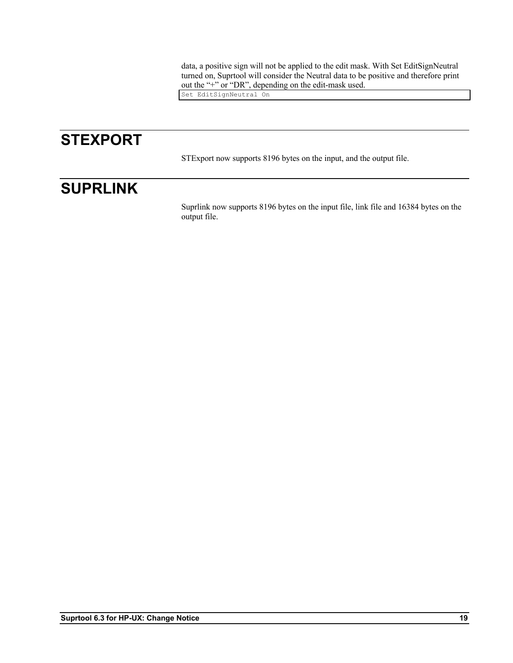data, a positive sign will not be applied to the edit mask. With Set EditSignNeutral turned on, Suprtool will consider the Neutral data to be positive and therefore print out the "+" or "DR", depending on the edit-mask used.

Set EditSignNeutral On

## **STEXPORT**

STExport now supports 8196 bytes on the input, and the output file.

## **SUPRLINK**

Suprlink now supports 8196 bytes on the input file, link file and 16384 bytes on the output file.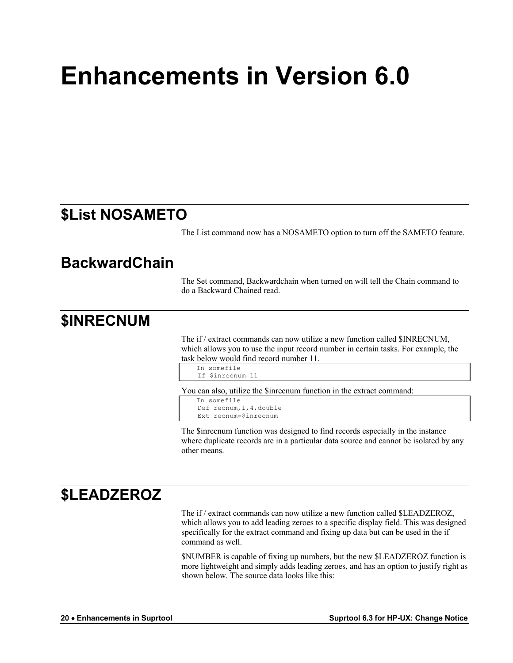# **Enhancements in Version 6.0**

#### **\$List NOSAMETO**

The List command now has a NOSAMETO option to turn off the SAMETO feature.

#### **BackwardChain**

The Set command, Backwardchain when turned on will tell the Chain command to do a Backward Chained read.

### **\$INRECNUM**

The if / extract commands can now utilize a new function called \$INRECNUM, which allows you to use the input record number in certain tasks. For example, the task below would find record number 11.

```
In somefile
 If $inrecnum=11
```
You can also, utilize the \$inrecnum function in the extract command:

```
In somefile
 Def recnum,1,4,double
 Ext recnum=$inrecnum
```
The \$inrecnum function was designed to find records especially in the instance where duplicate records are in a particular data source and cannot be isolated by any other means.

## **\$LEADZEROZ**

The if / extract commands can now utilize a new function called \$LEADZEROZ, which allows you to add leading zeroes to a specific display field. This was designed specifically for the extract command and fixing up data but can be used in the if command as well.

\$NUMBER is capable of fixing up numbers, but the new \$LEADZEROZ function is more lightweight and simply adds leading zeroes, and has an option to justify right as shown below. The source data looks like this: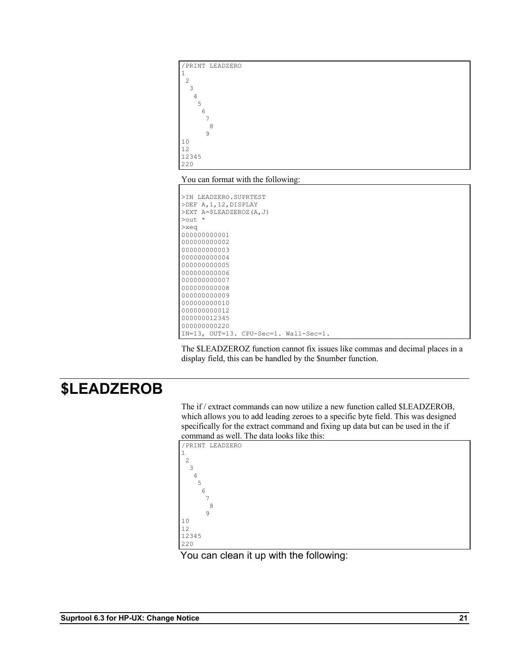

#### You can format with the following:

| >IN LEADZERO.SUPRTEST                 |
|---------------------------------------|
| >DEF A, 1, 12, DISPLAY                |
| >EXT A=\$LEADZEROZ(A,J)               |
| $\star$<br>$>$ $\cap$ 11 $\uparrow$   |
| >xeq                                  |
| 000000000001                          |
| 000000000002                          |
| 000000000003                          |
| 000000000004                          |
| 000000000005                          |
| 000000000006                          |
| 000000000007                          |
| 000000000008                          |
| 000000000009                          |
| 000000000010                          |
| 000000000012                          |
| 000000012345                          |
| 000000000220                          |
| IN=13, OUT=13. CPU-Sec=1. Wall-Sec=1. |

The \$LEADZEROZ function cannot fix issues like commas and decimal places in a display field, this can be handled by the \$number function.

#### **\$LEADZEROB**

The if / extract commands can now utilize a new function called \$LEADZEROB, which allows you to add leading zeroes to a specific byte field. This was designed specifically for the extract command and fixing up data but can be used in the if command as well. The data looks like this:



You can clean it up with the following: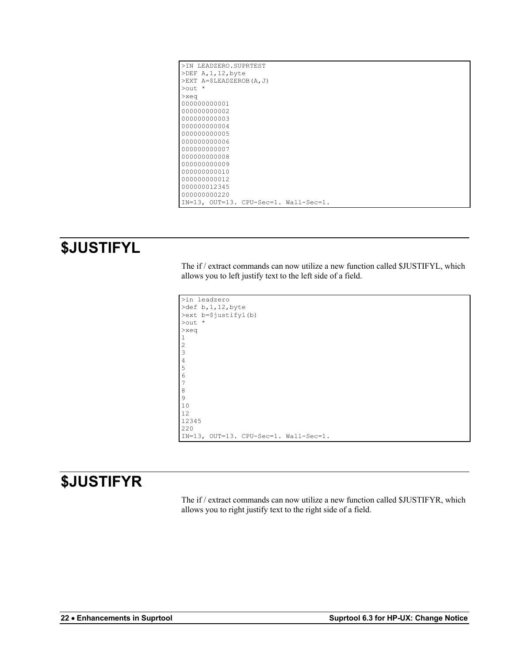| >IN LEADZERO.SUPRTEST                 |
|---------------------------------------|
| >DEF $A, 1, 12,$ byte                 |
| >EXT A=\$LEADZEROB(A, J)              |
| $\text{Out}$ *                        |
| $>$ xeq                               |
| 000000000001                          |
| 000000000002                          |
| 000000000003                          |
| 000000000004                          |
| 000000000005                          |
| 000000000006                          |
| 000000000007                          |
| 000000000008                          |
| 000000000009                          |
| 000000000010                          |
| 000000000012                          |
| 000000012345                          |
| 000000000220                          |
| IN=13, OUT=13. CPU-Sec=1. Wall-Sec=1. |

## **\$JUSTIFYL**

The if / extract commands can now utilize a new function called \$JUSTIFYL, which allows you to left justify text to the left side of a field.

```
>in leadzero
>def b,1,12,byte
>ext b=$justifyl(b)
>out *
>xeq
1
2
3
4
5
6
7
8
9
10
12
12345
220
IN=13, OUT=13. CPU-Sec=1. Wall-Sec=1.
```
## **\$JUSTIFYR**

The if / extract commands can now utilize a new function called \$JUSTIFYR, which allows you to right justify text to the right side of a field.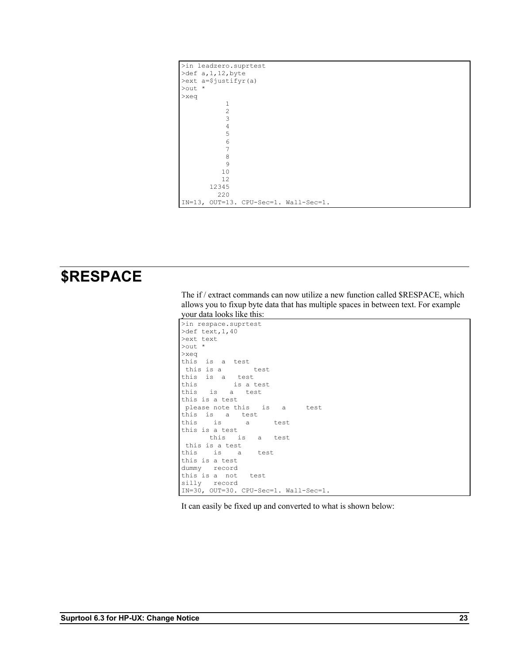| >in leadzero.suprtest<br>>def $a, 1, 12$ , byte |
|-------------------------------------------------|
|                                                 |
| >ext a=\$justifyr(a)                            |
| $\text{Out}$ *                                  |
| $>$ xeq                                         |
| 1                                               |
| 2                                               |
| 3                                               |
| $\overline{4}$                                  |
| 5                                               |
| 6                                               |
| 7                                               |
| 8                                               |
| 9                                               |
| 10                                              |
| 12                                              |
| 12345                                           |
| 220                                             |
| IN=13, OUT=13. CPU-Sec=1. Wall-Sec=1.           |

#### **\$RESPACE**

The if / extract commands can now utilize a new function called \$RESPACE, which allows you to fixup byte data that has multiple spaces in between text. For example your data looks like this:

```
>in respace.suprtest
>def text,1,40
>ext text
>out *
>xeq
this is a test
this is a test
this is a test
           is a test
this is a test
this is a test
please note this is a test
this is a test
      is a test
this is a test
       this is a test
this is a test<br>this is a
this is a test
this is a test<br>dummy record
      record
this is a not test
silly record
IN=30, OUT=30. CPU-Sec=1. Wall-Sec=1.
```
It can easily be fixed up and converted to what is shown below: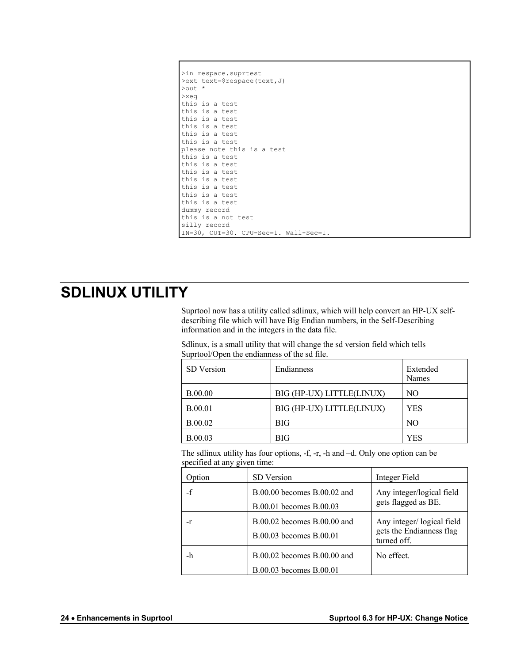```
>in respace.suprtest
>ext text=$respace(text,J)
>out *
>xeq
this is a test
this is a test
this is a test
this is a test
this is a test
this is a test
please note this is a test
this is a test
this is a test
this is a test
this is a test
this is a test
this is a test
this is a test
dummy record
this is a not test
silly record
IN=30, OUT=30. CPU-Sec=1. Wall-Sec=1.
```
## **SDLINUX UTILITY**

Suprtool now has a utility called sdlinux, which will help convert an HP-UX selfdescribing file which will have Big Endian numbers, in the Self-Describing information and in the integers in the data file.

Sdlinux, is a small utility that will change the sd version field which tells Suprtool/Open the endianness of the sd file.

| SD Version     | <b>Endianness</b>         | Extended<br>Names |
|----------------|---------------------------|-------------------|
| <b>B.00.00</b> | BIG (HP-UX) LITTLE(LINUX) | NO                |
| <b>B.00.01</b> | BIG (HP-UX) LITTLE(LINUX) | <b>YES</b>        |
| <b>B.00.02</b> | <b>BIG</b>                | N <sub>O</sub>    |
| <b>B.00.03</b> | <b>BIG</b>                | YES               |

The sdlinux utility has four options, -f, -r, -h and –d. Only one option can be specified at any given time:

| Option | <b>SD</b> Version                                          | Integer Field                                    |
|--------|------------------------------------------------------------|--------------------------------------------------|
| -f     | $B.00.00$ becomes $B.00.02$ and<br>B.00.01 becomes B.00.03 | Any integer/logical field<br>gets flagged as BE. |
|        |                                                            |                                                  |
| -r     | $B.00.02$ becomes $B.00.00$ and                            | Any integer/logical field                        |
|        | B.00.03 becomes B.00.01                                    | gets the Endianness flag<br>turned off.          |
| -h     | $B.00.02$ becomes $B.00.00$ and                            | No effect.                                       |
|        | B.00.03 becomes B.00.01                                    |                                                  |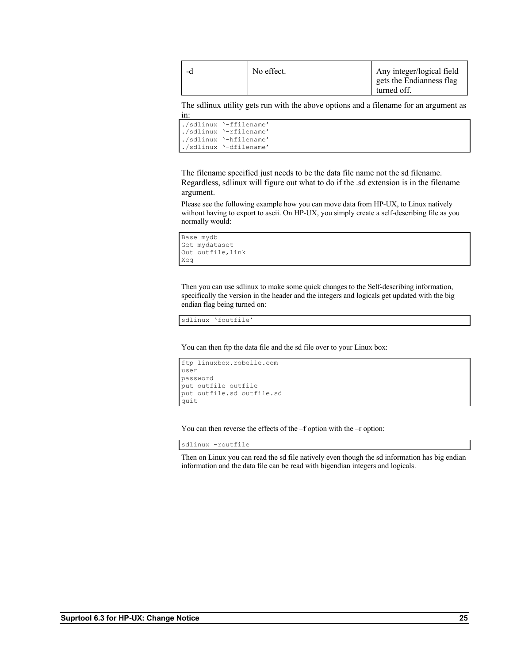| -d | No effect. | Any integer/logical field<br>gets the Endianness flag |
|----|------------|-------------------------------------------------------|
|    |            | turned off.                                           |

The sdlinux utility gets run with the above options and a filename for an argument as in:

./sdlinux '-ffilename' ./sdlinux '-rfilename' ./sdlinux '-hfilename' ./sdlinux '-dfilename'

The filename specified just needs to be the data file name not the sd filename. Regardless, sdlinux will figure out what to do if the .sd extension is in the filename argument.

Please see the following example how you can move data from HP-UX, to Linux natively without having to export to ascii. On HP-UX, you simply create a self-describing file as you normally would:



Then you can use sdlinux to make some quick changes to the Self-describing information, specifically the version in the header and the integers and logicals get updated with the big endian flag being turned on:

sdlinux 'foutfile'

You can then ftp the data file and the sd file over to your Linux box:

```
ftp linuxbox.robelle.com
user
password
put outfile outfile
put outfile.sd outfile.sd
quit
```
You can then reverse the effects of the –f option with the –r option:

sdlinux -routfile

Then on Linux you can read the sd file natively even though the sd information has big endian information and the data file can be read with bigendian integers and logicals.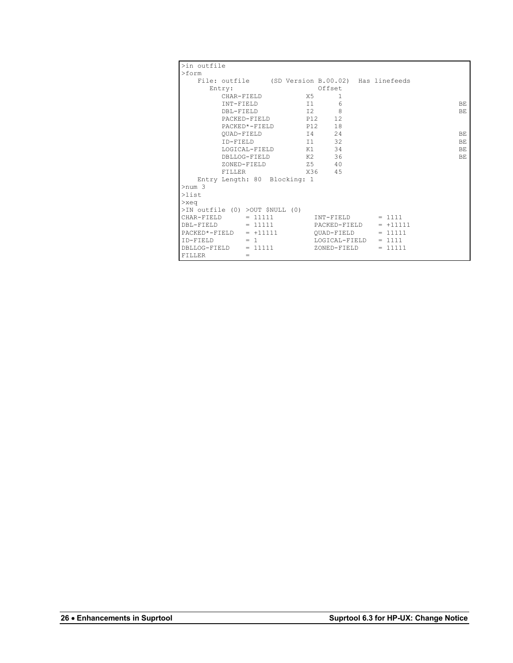| >in outfile                                      |               |       |                    |            |           |
|--------------------------------------------------|---------------|-------|--------------------|------------|-----------|
| $>$ form                                         |               |       |                    |            |           |
| File: outfile (SD Version B.00.02) Has linefeeds |               |       |                    |            |           |
| Entry:                                           |               |       | Offset             |            |           |
| CHAR-FIELD                                       |               | X5    | 1                  |            |           |
| TNT-FTELD                                        |               | T1    | 6                  |            | BE        |
| DBL-FIELD                                        |               | I2    | 8                  |            | <b>BE</b> |
|                                                  | PACKED-FIELD  | P12   | 12                 |            |           |
|                                                  | PACKED*-FIELD | P12   | 18                 |            |           |
| OUAD-FIELD                                       |               | $T_4$ | 2.4                |            | ВE        |
| TD-FIELD                                         |               | T1    | 32                 |            | BE        |
|                                                  | LOGICAL-FIELD | K1    | 34                 |            | BE        |
|                                                  | DBLLOG-FIELD  | K2    | 36                 |            | BE.       |
| ZONED-FIELD                                      |               | Z5 a  | 40                 |            |           |
| FILLER                                           |               | X36   | 45                 |            |           |
| Entry Length: 80 Blocking: 1                     |               |       |                    |            |           |
| $>$ num $3$                                      |               |       |                    |            |           |
| $>$ list                                         |               |       |                    |            |           |
| $>$ xeq                                          |               |       |                    |            |           |
| >IN outfile (0) >OUT \$NULL (0)                  |               |       |                    |            |           |
| CHAR-FIELD                                       | $= 11111$     |       | $INT-FIELD = 1111$ |            |           |
| $DBL-FIELD$ = 11111                              |               |       | PACKED-FIELD       | $= +11111$ |           |
| $PACKED*-FIELD$ = +11111                         |               |       | QUAD-FIELD         | $= 11111$  |           |
| ID-FIELD                                         | $= 1$         |       | LOGICAL-FIELD      | $= 1111$   |           |
| DBLLOG-FIELD                                     | $= 11111$     |       | ZONED-FIELD        | $= 11111$  |           |
| FILLER                                           | $=$           |       |                    |            |           |